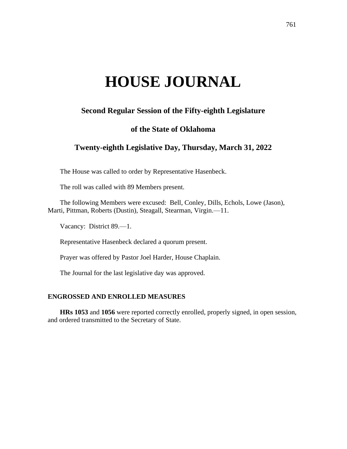# **HOUSE JOURNAL**

# **Second Regular Session of the Fifty-eighth Legislature**

# **of the State of Oklahoma**

# **Twenty-eighth Legislative Day, Thursday, March 31, 2022**

The House was called to order by Representative Hasenbeck.

The roll was called with 89 Members present.

The following Members were excused: Bell, Conley, Dills, Echols, Lowe (Jason), Marti, Pittman, Roberts (Dustin), Steagall, Stearman, Virgin.—11.

Vacancy: District 89.—1.

Representative Hasenbeck declared a quorum present.

Prayer was offered by Pastor Joel Harder, House Chaplain.

The Journal for the last legislative day was approved.

#### **ENGROSSED AND ENROLLED MEASURES**

**HRs 1053** and **1056** were reported correctly enrolled, properly signed, in open session, and ordered transmitted to the Secretary of State.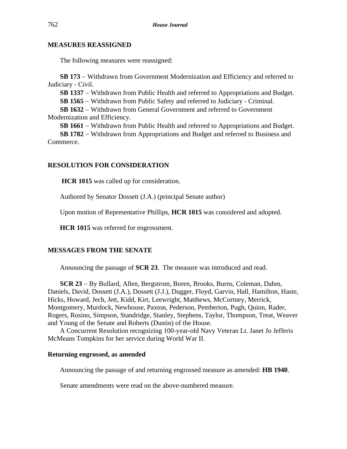## **MEASURES REASSIGNED**

The following measures were reassigned:

**SB 173** − Withdrawn from Government Modernization and Efficiency and referred to Judiciary - Civil.

**SB 1337** − Withdrawn from Public Health and referred to Appropriations and Budget.

**SB 1565** − Withdrawn from Public Safety and referred to Judiciary - Criminal.

**SB 1632** − Withdrawn from General Government and referred to Government Modernization and Efficiency.

**SB 1661** − Withdrawn from Public Health and referred to Appropriations and Budget.

**SB 1782** − Withdrawn from Appropriations and Budget and referred to Business and Commerce.

# **RESOLUTION FOR CONSIDERATION**

**HCR 1015** was called up for consideration.

Authored by Senator Dossett (J.A.) (principal Senate author)

Upon motion of Representative Phillips, **HCR 1015** was considered and adopted.

**HCR 1015** was referred for engrossment.

### **MESSAGES FROM THE SENATE**

Announcing the passage of **SCR 23**. The measure was introduced and read.

**SCR 23** − By Bullard, Allen, Bergstrom, Boren, Brooks, Burns, Coleman, Dahm, Daniels, David, Dossett (J.A.), Dossett (J.J.), Dugger, Floyd, Garvin, Hall, Hamilton, Haste, Hicks, Howard, Jech, Jett, Kidd, Kirt, Leewright, Matthews, McCortney, Merrick, Montgomery, Murdock, Newhouse, Paxton, Pederson, Pemberton, Pugh, Quinn, Rader, Rogers, Rosino, Simpson, Standridge, Stanley, Stephens, Taylor, Thompson, Treat, Weaver and Young of the Senate and Roberts (Dustin) of the House.

A Concurrent Resolution recognizing 100-year-old Navy Veteran Lt. Janet Jo Jefferis McMeans Tompkins for her service during World War II.

#### **Returning engrossed, as amended**

Announcing the passage of and returning engrossed measure as amended: **HB 1940**.

Senate amendments were read on the above-numbered measure.